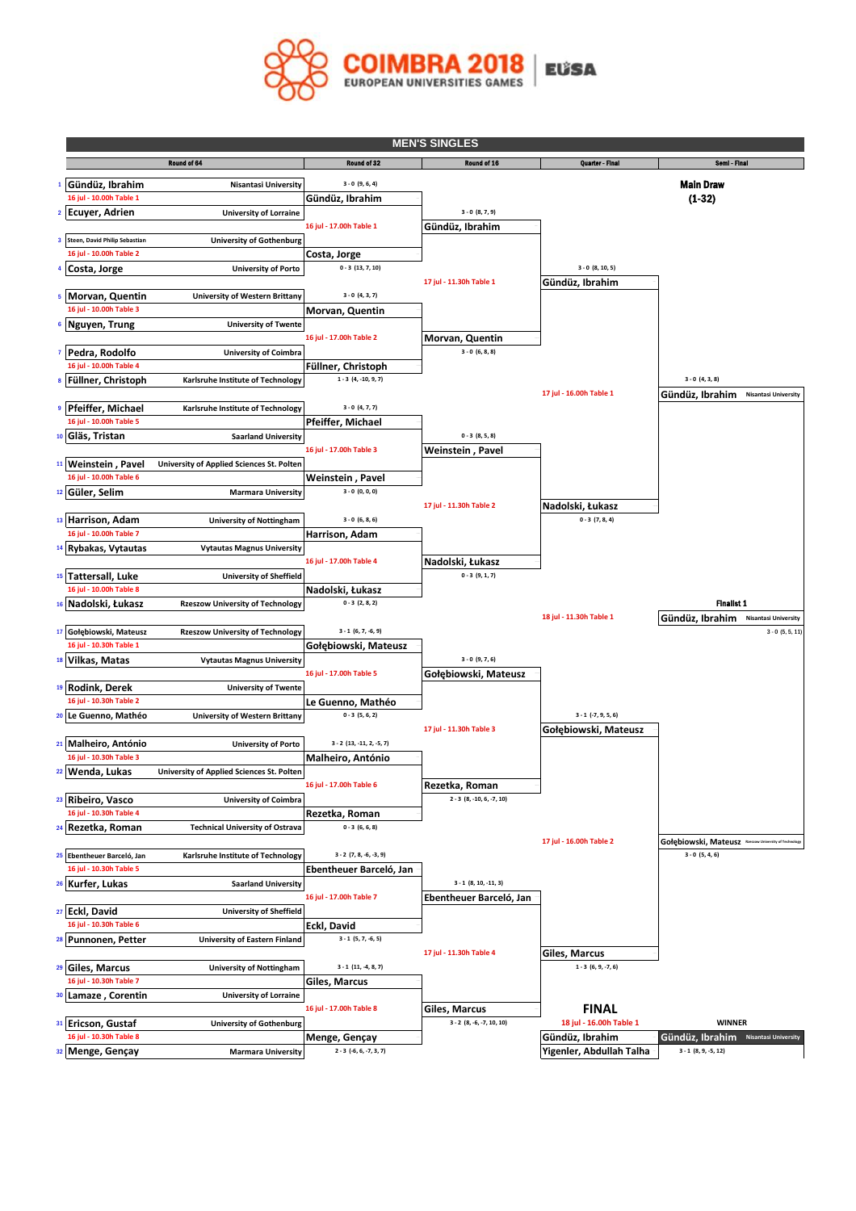

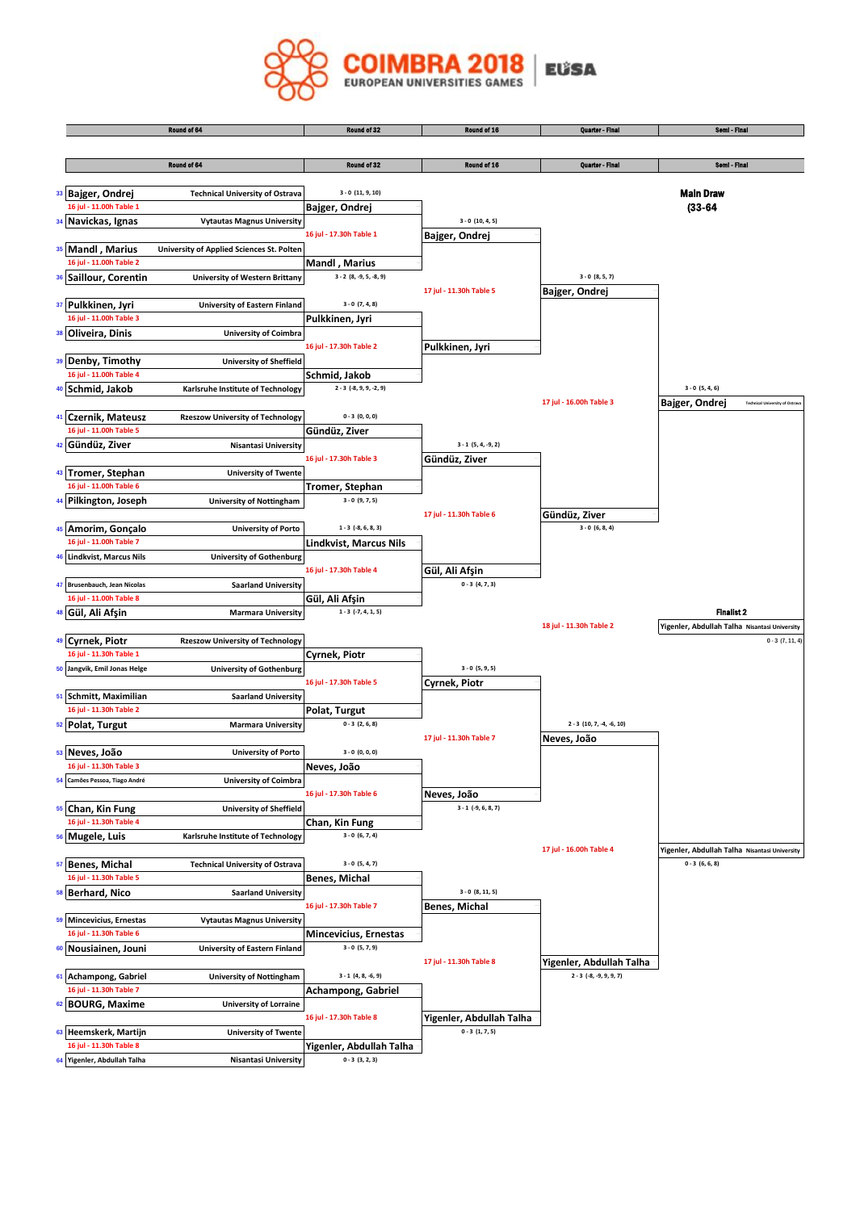

|                                                  | Round of 64                               | Round of 32                 | Round of 16              | <b>Quarter - Final</b>                                  | Semi - Final                                  |
|--------------------------------------------------|-------------------------------------------|-----------------------------|--------------------------|---------------------------------------------------------|-----------------------------------------------|
|                                                  |                                           |                             |                          |                                                         |                                               |
|                                                  | Round of 64                               | Round of 32                 | Round of 16              | <b>Quarter - Final</b>                                  | Semi - Final                                  |
|                                                  |                                           |                             |                          |                                                         |                                               |
|                                                  |                                           |                             |                          |                                                         |                                               |
| 33 Bajger, Ondrej                                | <b>Technical University of Ostrava</b>    | $3 - 0$ (11, 9, 10)         |                          |                                                         | <b>Main Draw</b>                              |
| 16 jul - 11.00h Table 1                          |                                           | Bajger, Ondrej              |                          |                                                         | $(33 - 64)$                                   |
| 34 Navickas, Ignas                               | <b>Vytautas Magnus University</b>         |                             | $3 - 0$ (10, 4, 5)       |                                                         |                                               |
|                                                  |                                           | 16 jul - 17.30h Table 1     | Bajger, Ondrej           |                                                         |                                               |
| 35 Mandl, Marius                                 | University of Applied Sciences St. Polten |                             |                          |                                                         |                                               |
| 16 jul - 11.00h Table 2                          |                                           | <b>Mandl</b> , Marius       |                          |                                                         |                                               |
| 36 Saillour, Corentin                            | <b>University of Western Brittany</b>     | $3 - 2 (8, -9, 5, -8, 9)$   |                          | $3 - 0 (8, 5, 7)$                                       |                                               |
|                                                  |                                           |                             | 17 jul - 11.30h Table 5  | Bajger, Ondrej                                          |                                               |
| 37 Pulkkinen, Jyri                               | University of Eastern Finland             | $3 - 0 (7, 4, 8)$           |                          |                                                         |                                               |
| 16 jul - 11.00h Table 3                          |                                           | Pulkkinen, Jyri             |                          |                                                         |                                               |
| 38 Oliveira, Dinis                               | <b>University of Coimbra</b>              |                             |                          |                                                         |                                               |
|                                                  |                                           | 16 jul - 17.30h Table 2     | Pulkkinen, Jyri          |                                                         |                                               |
| <sup>39</sup> Denby, Timothy                     | <b>University of Sheffield</b>            |                             |                          |                                                         |                                               |
| 16 jul - 11.00h Table 4                          |                                           | Schmid, Jakob               |                          |                                                         |                                               |
| 40 Schmid, Jakob                                 | Karlsruhe Institute of Technology         | $2 - 3$ $(-8, 9, 9, -2, 9)$ |                          |                                                         | $3 - 0 (5, 4, 6)$                             |
|                                                  |                                           |                             |                          | 17 jul - 16.00h Table 3                                 | <b>Technical University of Ostra</b>          |
|                                                  |                                           |                             |                          |                                                         | Bajger, Ondrej                                |
| 41 Czernik, Mateusz                              | <b>Rzeszow University of Technology</b>   | $0 - 3 (0, 0, 0)$           |                          |                                                         |                                               |
| 16 jul - 11.00h Table 5                          |                                           | Gündüz, Ziver               |                          |                                                         |                                               |
| Gündüz, Ziver<br>42                              | <b>Nisantasi University</b>               |                             | $3 - 1 (5, 4, -9, 2)$    |                                                         |                                               |
|                                                  |                                           | 16 jul - 17.30h Table 3     | Gündüz, Ziver            |                                                         |                                               |
| <b>Tromer, Stephan</b><br>43                     | <b>University of Twente</b>               |                             |                          |                                                         |                                               |
| 16 jul - 11.00h Table 6                          |                                           | Tromer, Stephan             |                          |                                                         |                                               |
| Pilkington, Joseph                               | <b>University of Nottingham</b>           | $3 - 0 (9, 7, 5)$           |                          |                                                         |                                               |
|                                                  |                                           |                             | 17 jul - 11.30h Table 6  | Gündüz, Ziver                                           |                                               |
| 45 Amorim, Gonçalo                               | <b>University of Porto</b>                | $1 - 3$ (-8, 6, 8, 3)       |                          | $3 - 0 (6, 8, 4)$                                       |                                               |
| 16 jul - 11.00h Table 7                          |                                           | Lindkvist, Marcus Nils      |                          |                                                         |                                               |
| <b>Lindkvist, Marcus Nils</b><br>46              | <b>University of Gothenburg</b>           |                             |                          |                                                         |                                               |
|                                                  |                                           | 16 jul - 17.30h Table 4     | Gül, Ali Afşin           |                                                         |                                               |
| Brusenbauch, Jean Nicolas<br>47                  | <b>Saarland University</b>                |                             | $0 - 3(4, 7, 3)$         |                                                         |                                               |
| 16 jul - 11.00h Table 8                          |                                           | Gül, Ali Afşin              |                          |                                                         |                                               |
| Gül, Ali Afşin<br>48                             | <b>Marmara University</b>                 | $1 - 3 (-7, 4, 1, 5)$       |                          |                                                         | <b>Finalist 2</b>                             |
|                                                  |                                           |                             |                          | 18 jul - 11.30h Table 2                                 | Yigenler, Abdullah Talha Nisantasi University |
| 49 Cyrnek, Piotr                                 | <b>Rzeszow University of Technology</b>   |                             |                          |                                                         | $0 - 3 (7, 11, 4)$                            |
| 16 jul - 11.30h Table 1                          |                                           | Cyrnek, Piotr               |                          |                                                         |                                               |
| 50 Jangvik, Emil Jonas Helge                     |                                           |                             | $3 - 0 (5, 9, 5)$        |                                                         |                                               |
|                                                  | <b>University of Gothenburg</b>           | 16 jul - 17.30h Table 5     |                          |                                                         |                                               |
|                                                  |                                           |                             | Cyrnek, Piotr            |                                                         |                                               |
| 51 Schmitt, Maximilian                           | <b>Saarland University</b>                |                             |                          |                                                         |                                               |
| 16 jul - 11.30h Table 2                          |                                           | Polat, Turgut               |                          |                                                         |                                               |
| 52 Polat, Turgut                                 | <b>Marmara University</b>                 | $0 - 3(2, 6, 8)$            |                          | $2 - 3$ (10, 7, -4, -6, 10)                             |                                               |
|                                                  |                                           |                             | 17 jul - 11.30h Table 7  | Neves, João                                             |                                               |
| 53 Neves, João                                   | <b>University of Porto</b>                | $3 - 0 (0, 0, 0)$           |                          |                                                         |                                               |
| 16 jul - 11.30h Table 3                          |                                           | Neves, João                 |                          |                                                         |                                               |
| Camões Pessoa, Tiago André<br>54                 | <b>University of Coimbra</b>              |                             |                          |                                                         |                                               |
|                                                  |                                           | 16 jul - 17.30h Table 6     | Neves, João              |                                                         |                                               |
| 55 Chan, Kin Fung                                | <b>University of Sheffield</b>            |                             | $3 - 1$ (-9, 6, 8, 7)    |                                                         |                                               |
| 16 jul - 11.30h Table 4                          |                                           | Chan, Kin Fung              |                          |                                                         |                                               |
| Mugele, Luis<br>56                               | Karlsruhe Institute of Technology         | $3 - 0 (6, 7, 4)$           |                          |                                                         |                                               |
|                                                  |                                           |                             |                          | 17 jul - 16.00h Table 4                                 | Yigenler, Abdullah Talha Nisantasi University |
| 57 Benes, Michal                                 | <b>Technical University of Ostrava</b>    | $3 - 0 (5, 4, 7)$           |                          |                                                         | $0 - 3(6, 6, 8)$                              |
| 16 jul - 11.30h Table 5                          |                                           | Benes, Michal               |                          |                                                         |                                               |
| <b>Berhard, Nico</b><br>58                       | <b>Saarland University</b>                |                             | $3 - 0 (8, 11, 5)$       |                                                         |                                               |
|                                                  |                                           | 16 jul - 17.30h Table 7     | <b>Benes, Michal</b>     |                                                         |                                               |
| 59 Mincevicius, Ernestas                         | <b>Vytautas Magnus University</b>         |                             |                          |                                                         |                                               |
| 16 jul - 11.30h Table 6                          |                                           | Mincevicius, Ernestas       |                          |                                                         |                                               |
| 60<br>Nousiainen, Jouni                          | <b>University of Eastern Finland</b>      | $3 - 0 (5, 7, 9)$           |                          |                                                         |                                               |
|                                                  |                                           |                             | 17 jul - 11.30h Table 8  |                                                         |                                               |
|                                                  |                                           |                             |                          | Yigenler, Abdullah Talha<br>$2 - 3$ $(-8, -9, 9, 9, 7)$ |                                               |
| 61 Achampong, Gabriel<br>16 jul - 11.30h Table 7 | <b>University of Nottingham</b>           | $3 - 1$ $(4, 8, -6, 9)$     |                          |                                                         |                                               |
|                                                  |                                           | Achampong, Gabriel          |                          |                                                         |                                               |
| <b>BOURG, Maxime</b><br>62                       | <b>University of Lorraine</b>             |                             |                          |                                                         |                                               |
|                                                  |                                           | 16 jul - 17.30h Table 8     | Yigenler, Abdullah Talha |                                                         |                                               |
| 63 Heemskerk, Martijn                            | <b>University of Twente</b>               |                             | $0 - 3(1, 7, 5)$         |                                                         |                                               |
| 16 jul - 11.30h Table 8                          |                                           | Yigenler, Abdullah Talha    |                          |                                                         |                                               |
| Yigenler, Abdullah Talha<br>64                   | <b>Nisantasi University</b>               | $0 - 3(3, 2, 3)$            |                          |                                                         |                                               |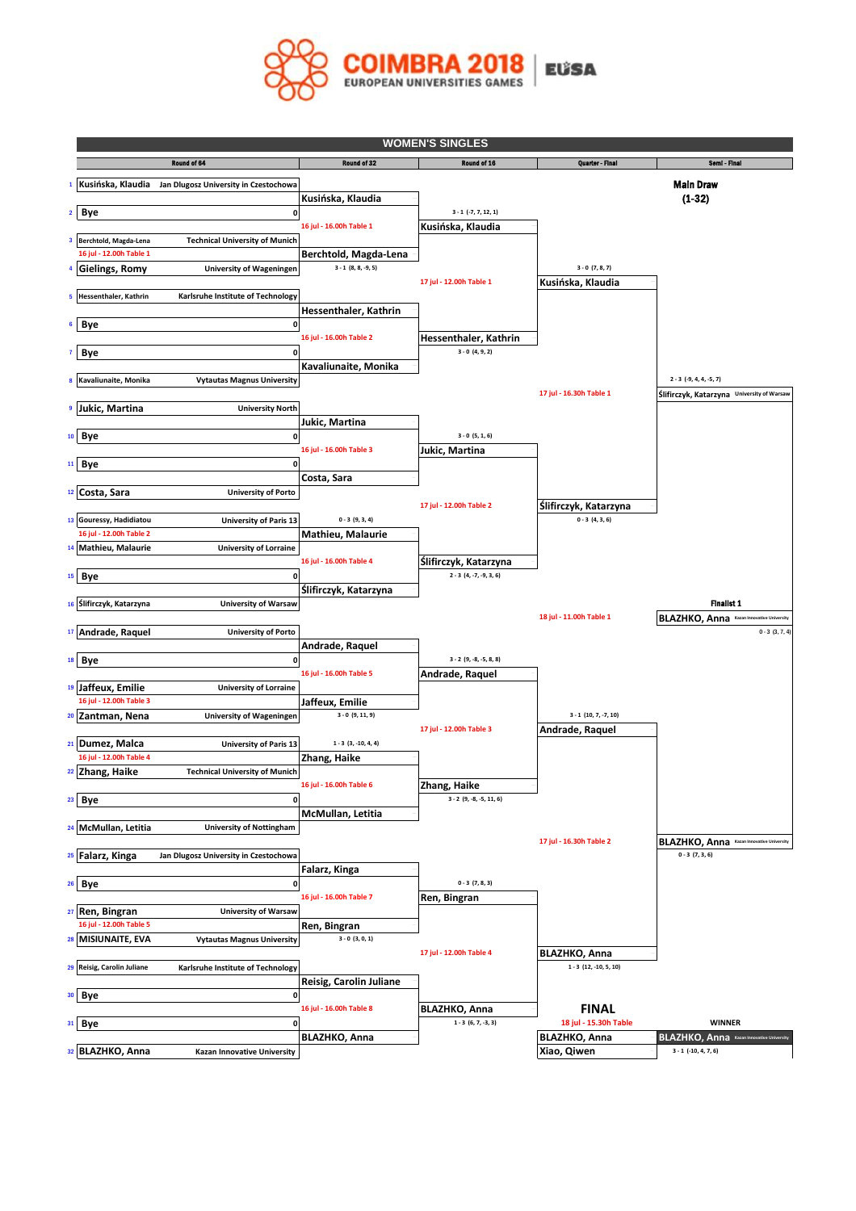

|   |                                                          |                                                         |                                                  | <b>WOMEN'S SINGLES</b>                     |                                               |                                                                       |  |  |
|---|----------------------------------------------------------|---------------------------------------------------------|--------------------------------------------------|--------------------------------------------|-----------------------------------------------|-----------------------------------------------------------------------|--|--|
|   |                                                          | Round of 64                                             | Round of 32                                      | Round of 16                                | Quarter - Final                               | Semi - Final                                                          |  |  |
|   |                                                          | Kusińska, Klaudia Jan Dlugosz University in Czestochowa |                                                  |                                            |                                               | Main Draw                                                             |  |  |
|   |                                                          |                                                         | Kusińska, Klaudia                                |                                            |                                               | $(1-32)$                                                              |  |  |
|   | $2$ Bye                                                  | 0                                                       |                                                  | $3 - 1$ (-7, 7, 12, 1)                     |                                               |                                                                       |  |  |
|   |                                                          |                                                         | 16 jul - 16.00h Table 1                          | Kusińska, Klaudia                          |                                               |                                                                       |  |  |
| 3 | Berchtold, Magda-Lena<br>16 jul - 12.00h Table 1         | <b>Technical University of Munich</b>                   |                                                  |                                            |                                               |                                                                       |  |  |
|   | <b>Gielings, Romy</b>                                    | University of Wageningen                                | Berchtold, Magda-Lena<br>$3 - 1$ $(8, 8, -9, 5)$ |                                            | $3 - 0 (7, 8, 7)$                             |                                                                       |  |  |
|   |                                                          |                                                         |                                                  | 17 jul - 12.00h Table 1                    | Kusińska, Klaudia                             |                                                                       |  |  |
| 5 | Hessenthaler, Kathrin                                    | Karlsruhe Institute of Technology                       |                                                  |                                            |                                               |                                                                       |  |  |
|   |                                                          |                                                         | Hessenthaler, Kathrin                            |                                            |                                               |                                                                       |  |  |
|   | 6 Bye                                                    | 0                                                       | 16 jul - 16.00h Table 2                          |                                            |                                               |                                                                       |  |  |
|   | <b>Bye</b>                                               | 0                                                       |                                                  | Hessenthaler, Kathrin<br>$3 - 0 (4, 9, 2)$ |                                               |                                                                       |  |  |
|   |                                                          |                                                         | Kavaliunaite, Monika                             |                                            |                                               |                                                                       |  |  |
| 8 | Kavaliunaite, Monika                                     | <b>Vytautas Magnus University</b>                       |                                                  |                                            |                                               | $2 - 3$ (-9, 4, 4, -5, 7)                                             |  |  |
|   |                                                          |                                                         |                                                  |                                            | 17 jul - 16.30h Table 1                       | Ślifirczyk, Katarzyna University of Warsaw                            |  |  |
|   | Jukic, Martina                                           | <b>University North</b>                                 |                                                  |                                            |                                               |                                                                       |  |  |
|   | <sup>10</sup> Bye                                        | 0                                                       | Jukic, Martina                                   | $3 - 0 (5, 1, 6)$                          |                                               |                                                                       |  |  |
|   |                                                          |                                                         | 16 jul - 16.00h Table 3                          | Jukic, Martina                             |                                               |                                                                       |  |  |
|   | <sup>11</sup> Bye                                        | O                                                       |                                                  |                                            |                                               |                                                                       |  |  |
|   |                                                          |                                                         | Costa, Sara                                      |                                            |                                               |                                                                       |  |  |
|   | <sup>12</sup> Costa, Sara                                | <b>University of Porto</b>                              |                                                  |                                            |                                               |                                                                       |  |  |
|   | 13 Gouressy, Hadidiatou                                  |                                                         | $0 - 3 (9, 3, 4)$                                | 17 jul - 12.00h Table 2                    | Ślifirczyk, Katarzyna<br>$0 - 3(4, 3, 6)$     |                                                                       |  |  |
|   | 16 jul - 12.00h Table 2                                  | <b>University of Paris 13</b>                           | Mathieu, Malaurie                                |                                            |                                               |                                                                       |  |  |
|   | 14 Mathieu, Malaurie                                     | <b>University of Lorraine</b>                           |                                                  |                                            |                                               |                                                                       |  |  |
|   |                                                          |                                                         | 16 jul - 16.00h Table 4                          | Ślifirczyk, Katarzyna                      |                                               |                                                                       |  |  |
|   | 15 Bye                                                   | 0                                                       |                                                  | $2 - 3 (4, -7, -9, 3, 6)$                  |                                               |                                                                       |  |  |
|   |                                                          |                                                         | Ślifirczyk, Katarzyna                            |                                            |                                               | <b>Finalist 1</b>                                                     |  |  |
|   | 16 Ślifirczyk, Katarzyna                                 | <b>University of Warsaw</b>                             |                                                  |                                            | 18 jul - 11.00h Table 1                       | BLAZHKO, Anna Kazan Innovative Universit                              |  |  |
|   | 17 Andrade, Raquel                                       | <b>University of Porto</b>                              |                                                  |                                            |                                               | $0 - 3 (3, 7, 4)$                                                     |  |  |
|   |                                                          |                                                         | Andrade, Raquel                                  |                                            |                                               |                                                                       |  |  |
|   | <sup>18</sup> Bye                                        | $\mathbf 0$                                             |                                                  | $3 - 2 (9, -8, -5, 8, 8)$                  |                                               |                                                                       |  |  |
|   |                                                          |                                                         | 16 jul - 16.00h Table 5                          | Andrade, Raquel                            |                                               |                                                                       |  |  |
|   | <sup>19</sup> Jaffeux, Emilie<br>16 jul - 12.00h Table 3 | <b>University of Lorraine</b>                           | Jaffeux, Emilie                                  |                                            |                                               |                                                                       |  |  |
|   | <sup>20</sup> Zantman, Nena                              | University of Wageningen                                | $3 - 0$ (9, 11, 9)                               |                                            | $3 - 1$ (10, 7, -7, 10)                       |                                                                       |  |  |
|   |                                                          |                                                         |                                                  | 17 jul - 12.00h Table 3                    | Andrade, Raquel                               |                                                                       |  |  |
|   | 21 Dumez, Malca                                          | <b>University of Paris 13</b>                           | $1 - 3$ $(3, -10, 4, 4)$                         |                                            |                                               |                                                                       |  |  |
|   | 16 jul - 12.00h Table 4<br><sup>22</sup> Zhang, Haike    | <b>Technical University of Munich</b>                   | Zhang, Haike                                     |                                            |                                               |                                                                       |  |  |
|   |                                                          |                                                         | 16 jul - 16.00h Table 6                          | Zhang, Haike                               |                                               |                                                                       |  |  |
|   | 23 Bye                                                   | $\mathbf 0$                                             |                                                  | $3 - 2 (9, -8, -5, 11, 6)$                 |                                               |                                                                       |  |  |
|   |                                                          |                                                         | McMullan, Letitia                                |                                            |                                               |                                                                       |  |  |
|   | <sup>24</sup> McMullan, Letitia                          | <b>University of Nottingham</b>                         |                                                  |                                            |                                               |                                                                       |  |  |
|   |                                                          |                                                         |                                                  |                                            | 17 jul - 16.30h Table 2                       | <b>BLAZHKO, Anna</b> Kazan Innovative University<br>$0 - 3 (7, 3, 6)$ |  |  |
|   | <sup>25</sup> Falarz, Kinga                              | Jan Dlugosz University in Czestochowa                   | Falarz, Kinga                                    |                                            |                                               |                                                                       |  |  |
|   | <sup>26</sup> Bye                                        | 0                                                       |                                                  | $0 - 3(7, 8, 3)$                           |                                               |                                                                       |  |  |
|   |                                                          |                                                         | 16 jul - 16.00h Table 7                          | Ren, Bingran                               |                                               |                                                                       |  |  |
|   | <sup>27</sup> Ren, Bingran                               | <b>University of Warsaw</b>                             |                                                  |                                            |                                               |                                                                       |  |  |
|   | 16 jul - 12.00h Table 5                                  |                                                         | Ren, Bingran<br>$3 - 0 (3, 0, 1)$                |                                            |                                               |                                                                       |  |  |
|   | 28 MISIUNAITE, EVA                                       | <b>Vytautas Magnus University</b>                       |                                                  | 17 jul - 12.00h Table 4                    | <b>BLAZHKO, Anna</b>                          |                                                                       |  |  |
|   | 29 Reisig, Carolin Juliane                               | Karlsruhe Institute of Technology                       |                                                  |                                            | $1 - 3$ $(12, -10, 5, 10)$                    |                                                                       |  |  |
|   |                                                          |                                                         | Reisig, Carolin Juliane                          |                                            |                                               |                                                                       |  |  |
|   | 30 Bye                                                   | 0                                                       |                                                  |                                            |                                               |                                                                       |  |  |
|   |                                                          |                                                         | 16 jul - 16.00h Table 8                          | <b>BLAZHKO, Anna</b>                       | <b>FINAL</b>                                  |                                                                       |  |  |
|   | 31 Bye                                                   | 0                                                       | <b>BLAZHKO, Anna</b>                             | $1 - 3 (6, 7, -3, 3)$                      | 18 jul - 15.30h Table<br><b>BLAZHKO, Anna</b> | <b>WINNER</b><br><b>BLAZHKO, Anna</b> Kazan Innovative University     |  |  |
|   | 32 BLAZHKO, Anna                                         | Kazan Innovative University                             |                                                  |                                            | Xiao, Qiwen                                   | $3 - 1$ (-10, 4, 7, 6)                                                |  |  |
|   |                                                          |                                                         |                                                  |                                            |                                               |                                                                       |  |  |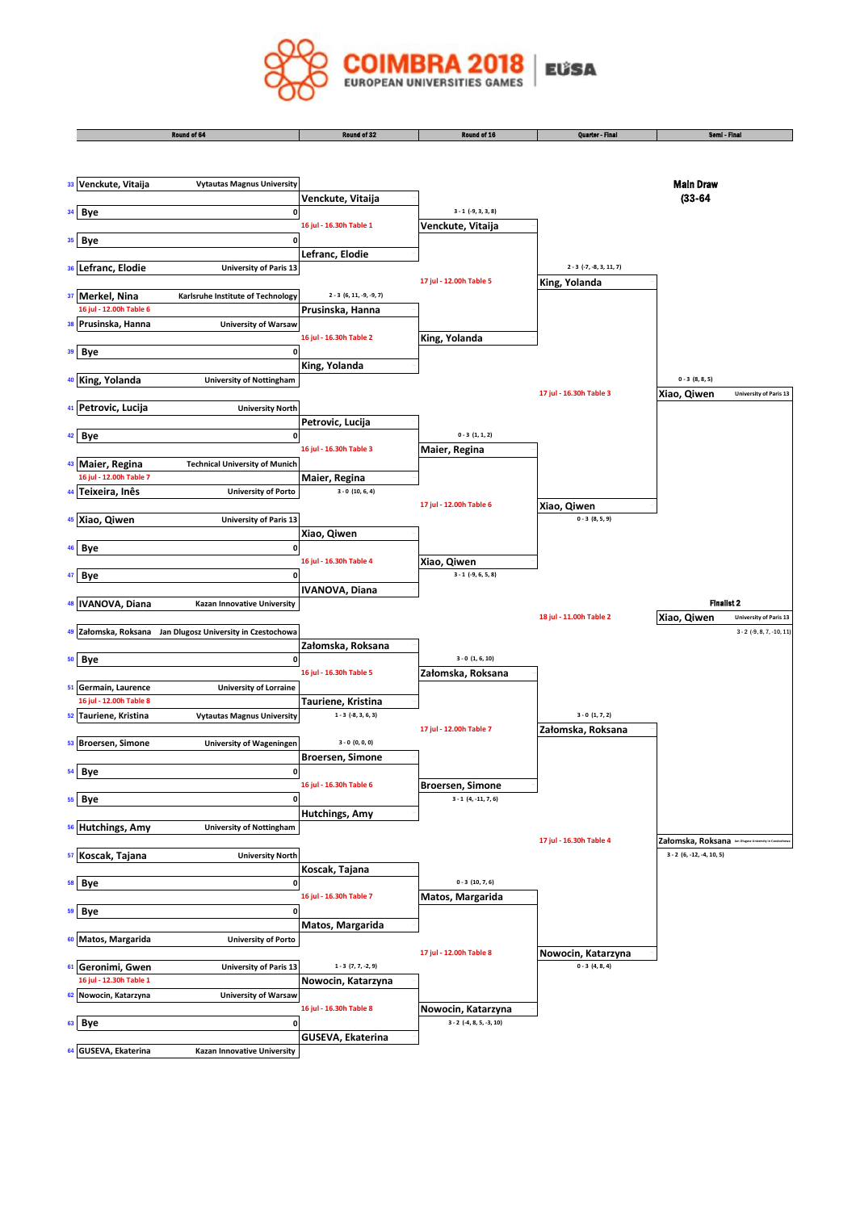

|    |                                               | Round of 64                                             | Round of 32                                   | Round of 16                          | Quarter - Final            | Semi - Final                                                                  |
|----|-----------------------------------------------|---------------------------------------------------------|-----------------------------------------------|--------------------------------------|----------------------------|-------------------------------------------------------------------------------|
|    |                                               |                                                         |                                               |                                      |                            |                                                                               |
|    | 33 Venckute, Vitaija                          | <b>Vytautas Magnus University</b>                       |                                               |                                      |                            | <b>Main Draw</b>                                                              |
|    |                                               |                                                         | Venckute, Vitaija                             |                                      |                            | $(33 - 64)$                                                                   |
|    | 34 Bye                                        | 0                                                       |                                               | $3 - 1$ (-9, 3, 3, 8)                |                            |                                                                               |
|    |                                               |                                                         | 16 jul - 16.30h Table 1                       | Venckute, Vitaija                    |                            |                                                                               |
|    | 35 Bye                                        | 0                                                       |                                               |                                      |                            |                                                                               |
| 36 | Lefranc, Elodie                               | <b>University of Paris 13</b>                           | Lefranc, Elodie                               |                                      | $2 - 3$ (-7, -8, 3, 11, 7) |                                                                               |
|    |                                               |                                                         |                                               | 17 jul - 12.00h Table 5              | King, Yolanda              |                                                                               |
| 37 | Merkel, Nina                                  | Karlsruhe Institute of Technology                       | $2 - 3 (6, 11, -9, -9, 7)$                    |                                      |                            |                                                                               |
|    | 16 jul - 12.00h Table 6                       |                                                         | Prusinska, Hanna                              |                                      |                            |                                                                               |
| 38 | Prusinska, Hanna                              | <b>University of Warsaw</b>                             |                                               |                                      |                            |                                                                               |
|    |                                               |                                                         | 16 jul - 16.30h Table 2                       | King, Yolanda                        |                            |                                                                               |
| 39 | <b>Bye</b>                                    | 0                                                       |                                               |                                      |                            |                                                                               |
|    |                                               |                                                         | King, Yolanda                                 |                                      |                            |                                                                               |
|    | 40 King, Yolanda                              | <b>University of Nottingham</b>                         |                                               |                                      |                            | $0 - 3(8, 8, 5)$                                                              |
|    |                                               |                                                         |                                               |                                      | 17 jul - 16.30h Table 3    | Xiao, Qiwen<br><b>University of Paris 13</b>                                  |
| 41 | Petrovic, Lucija                              | <b>University North</b>                                 |                                               |                                      |                            |                                                                               |
|    | 42 Bye                                        | 0                                                       | Petrovic, Lucija                              | $0 - 3(1, 1, 2)$                     |                            |                                                                               |
|    |                                               |                                                         | 16 jul - 16.30h Table 3                       | Maier, Regina                        |                            |                                                                               |
| 43 | Maier, Regina                                 | <b>Technical University of Munich</b>                   |                                               |                                      |                            |                                                                               |
|    | 16 jul - 12.00h Table 7                       |                                                         | Maier, Regina                                 |                                      |                            |                                                                               |
| 44 | Teixeira, Inês                                | <b>University of Porto</b>                              | $3 - 0$ (10, 6, 4)                            |                                      |                            |                                                                               |
|    |                                               |                                                         |                                               | 17 jul - 12.00h Table 6              | Xiao, Qiwen                |                                                                               |
| 45 | Xiao, Qiwen                                   | <b>University of Paris 13</b>                           |                                               |                                      | $0 - 3(8, 5, 9)$           |                                                                               |
|    |                                               |                                                         | Xiao, Qiwen                                   |                                      |                            |                                                                               |
|    | <sup>46</sup> Bye                             | 0                                                       |                                               |                                      |                            |                                                                               |
|    |                                               | 0                                                       | 16 jul - 16.30h Table 4                       | Xiao, Qiwen<br>$3 - 1$ (-9, 6, 5, 8) |                            |                                                                               |
| 47 | Bye                                           |                                                         | <b>IVANOVA, Diana</b>                         |                                      |                            |                                                                               |
|    | 48 IVANOVA, Diana                             | Kazan Innovative University                             |                                               |                                      |                            | <b>Finalist 2</b>                                                             |
|    |                                               |                                                         |                                               |                                      | 18 jul - 11.00h Table 2    | Xiao, Qiwen<br><b>University of Paris 13</b>                                  |
| 49 |                                               | Załomska, Roksana Jan Dlugosz University in Czestochowa |                                               |                                      |                            | $3 - 2$ (-9, 8, 7, -10, 11)                                                   |
|    |                                               |                                                         | Załomska, Roksana                             |                                      |                            |                                                                               |
|    | 50 Bye                                        | 0                                                       |                                               | $3 - 0$ $(1, 6, 10)$                 |                            |                                                                               |
|    |                                               |                                                         | 16 jul - 16.30h Table 5                       | Załomska, Roksana                    |                            |                                                                               |
| 51 | Germain, Laurence                             | <b>University of Lorraine</b>                           |                                               |                                      |                            |                                                                               |
| 52 | 16 jul - 12.00h Table 8<br>Tauriene, Kristina |                                                         | Tauriene, Kristina<br>$1 - 3$ $(-8, 3, 6, 3)$ |                                      | $3 - 0 (1, 7, 2)$          |                                                                               |
|    |                                               | <b>Vytautas Magnus University</b>                       |                                               | 17 jul - 12.00h Table 7              | Załomska, Roksana          |                                                                               |
| 53 | <b>Broersen, Simone</b>                       | <b>University of Wageningen</b>                         | $3 - 0 (0, 0, 0)$                             |                                      |                            |                                                                               |
|    |                                               |                                                         | <b>Broersen, Simone</b>                       |                                      |                            |                                                                               |
|    | 54 Bye                                        | $\mathbf 0$                                             |                                               |                                      |                            |                                                                               |
|    |                                               |                                                         | 16 jul - 16.30h Table 6                       | <b>Broersen, Simone</b>              |                            |                                                                               |
|    | 55 Bye                                        | 0                                                       |                                               | $3 - 1$ (4, -11, 7, 6)               |                            |                                                                               |
|    |                                               |                                                         | Hutchings, Amy                                |                                      |                            |                                                                               |
|    | 56 Hutchings, Amy                             | <b>University of Nottingham</b>                         |                                               |                                      |                            |                                                                               |
|    | 57 Koscak, Tajana                             | <b>University North</b>                                 |                                               |                                      | 17 jul - 16.30h Table 4    | Załomska, Roksana an Dispos University in Cont<br>$3 - 2 (6, -12, -4, 10, 5)$ |
|    |                                               |                                                         | Koscak, Tajana                                |                                      |                            |                                                                               |
|    | 58 Bye                                        | 0                                                       |                                               | $0 - 3(10, 7, 6)$                    |                            |                                                                               |
|    |                                               |                                                         | 16 jul - 16.30h Table 7                       | Matos, Margarida                     |                            |                                                                               |
|    | 59 Bye                                        | 0                                                       |                                               |                                      |                            |                                                                               |
|    |                                               |                                                         | Matos, Margarida                              |                                      |                            |                                                                               |
|    | 60 Matos, Margarida                           | <b>University of Porto</b>                              |                                               |                                      |                            |                                                                               |
|    |                                               |                                                         |                                               | 17 jul - 12.00h Table 8              | Nowocin, Katarzyna         |                                                                               |
|    | 61 Geronimi, Gwen                             | University of Paris 13                                  | $1 - 3$ $(7, 7, -2, 9)$                       |                                      | $0 - 3(4, 8, 4)$           |                                                                               |
|    | 16 jul - 12.30h Table 1                       |                                                         | Nowocin, Katarzyna                            |                                      |                            |                                                                               |
|    | 62 Nowocin, Katarzyna                         | <b>University of Warsaw</b>                             | 16 jul - 16.30h Table 8                       | Nowocin, Katarzyna                   |                            |                                                                               |
|    | 63 Bye                                        | 0                                                       |                                               | $3 - 2$ (-4, 8, 5, -3, 10)           |                            |                                                                               |
|    |                                               |                                                         | GUSEVA, Ekaterina                             |                                      |                            |                                                                               |
| 64 | GUSEVA, Ekaterina                             | Kazan Innovative University                             |                                               |                                      |                            |                                                                               |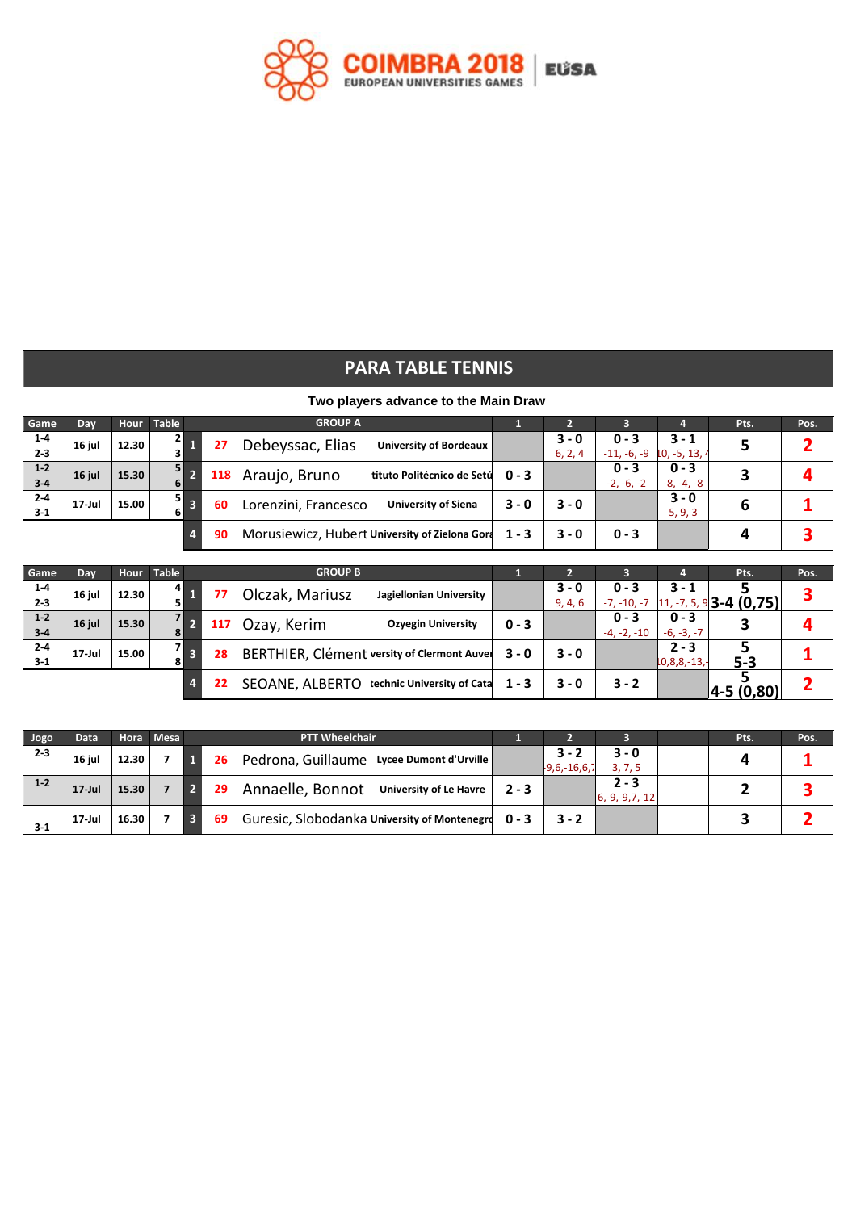

## **PARA TABLE TENNIS**

## **Two players advance to the Main Draw**

| Game               | Day       |       | Hour Table    |                         |     | <b>GROUP A</b>                                     |         | . .              |                          | 4                        | Pts. | Pos. |
|--------------------|-----------|-------|---------------|-------------------------|-----|----------------------------------------------------|---------|------------------|--------------------------|--------------------------|------|------|
| $1-4$<br>$2 - 3$   | 16 jul    | 12.30 | $\frac{2}{3}$ |                         | 27  | Debeyssac, Elias<br><b>University of Bordeaux</b>  |         | 3 - 0<br>6, 2, 4 | $0 - 3$<br>$-11, -6, -9$ | $3 - 1$<br>$10, -5, 13,$ |      |      |
| $1-2$<br>$3-4$     | 16 jul    | 15.30 | 5             | ъ                       | 118 | Araujo, Bruno<br>tituto Politécnico de Setú        | $0 - 3$ |                  | $0 - 3$<br>$-2, -6, -2$  | $0 - 3$<br>$-8, -4, -8$  |      |      |
| $2 - 4$<br>$3 - 1$ | $17$ -Jul | 15.00 | 5 <b>I</b>    | $\overline{\mathbf{3}}$ | 60  | Lorenzini, Francesco<br><b>University of Siena</b> | $3 - 0$ | $3 - 0$          |                          | $3 - 0$<br>5, 9, 3       | b    |      |
|                    |           |       |               | 4.                      | 90  | Morusiewicz, Hubert University of Zielona Gora     | $1 - 3$ | $3 - 0$          | $0 - 3$                  |                          |      |      |

| Game    | Day       | Hour  | <b>Table</b> |                         |     | <b>GROUP B</b>  |                                             |         | m       |               |                    | Pts.                                                                | Pos. |
|---------|-----------|-------|--------------|-------------------------|-----|-----------------|---------------------------------------------|---------|---------|---------------|--------------------|---------------------------------------------------------------------|------|
| $1-4$   | 16 jul    | 12.30 | 41           |                         | 77  | Olczak, Mariusz | Jagiellonian University                     |         | 3 - 0   | $0 - 3$       | $3 - 1$            |                                                                     |      |
| $2 - 3$ |           |       |              |                         |     |                 |                                             |         | 9, 4, 6 | $-7, -10, -7$ |                    | $\left[ \frac{11}{7}, \frac{-7}{5}, \frac{9}{3} \right]$ 3-4 (0,75) |      |
| $1 - 2$ | 16 jul    | 15.30 | 71           |                         | 117 | Ozay, Kerim     | <b>Ozyegin University</b>                   | $0 - 3$ |         | $0 - 3$       | $0 - 3$            |                                                                     |      |
| $3-4$   |           |       |              |                         |     |                 |                                             |         |         | $-4, -2, -10$ | $-6, -3, -7$       |                                                                     |      |
| $2-4$   | $17$ -Jul | 15.00 | 71           | $\overline{\mathbf{3}}$ | 28  |                 | BERTHIER, Clément versity of Clermont Auvel | $3 - 0$ | $3 - 0$ |               | $2 - 3$            |                                                                     |      |
| $3-1$   |           |       |              |                         |     |                 |                                             |         |         |               | $10, 8, 8, -13, -$ | $5 - 3$                                                             |      |
|         |           |       |              |                         | 22  |                 | SEOANE, ALBERTO technic University of Cata  | $1 - 3$ | $3 - 0$ | $3 - 2$       |                    |                                                                     |      |
|         |           |       |              |                         |     |                 |                                             |         |         |               |                    | 4-5 (0,80)                                                          |      |

| Jogo    | Data      |       | Hora Mesa | <b>PTT Wheelchair</b>                                   |         |                         |                              | Pts. | Pos. |
|---------|-----------|-------|-----------|---------------------------------------------------------|---------|-------------------------|------------------------------|------|------|
| $2 - 3$ | 16 jul    | 12.30 |           | Pedrona, Guillaume Lycee Dumont d'Urville<br>26         |         | $3 -$<br>$19,6,-16,6,7$ | $3 - 0$<br>3, 7, 5           |      |      |
| $1 - 2$ | $17$ -Jul | 15.30 |           | Annaelle, Bonnot<br><b>University of Le Havre</b><br>29 | $2 - 3$ |                         | $2 - 3$<br>$ 6,-9,-9,7,-12 $ |      |      |
| $3-1$   | $17$ -Jul | 16.30 |           | Guresic, Slobodanka University of Montenegro<br>69      | $0 - 3$ | $3 - 2$                 |                              |      |      |